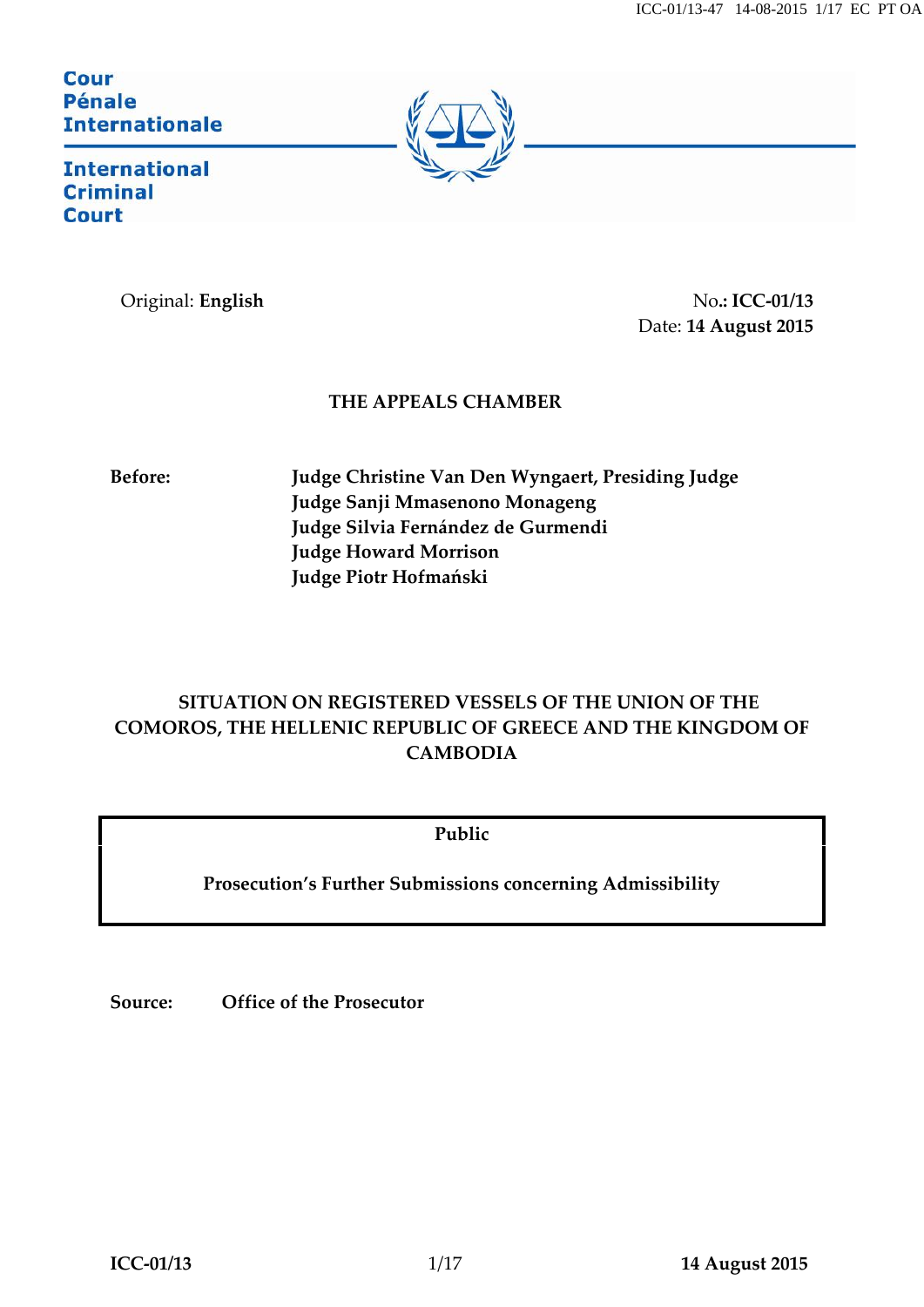#### **Cour Pénale Internationale**



**International Criminal Court** 

Original: **English** No.: **ICC-01/13** Date: **14 August 2015**

### **THE APPEALS CHAMBER**

**Before: Judge Christine Van Den Wyngaert, Presiding Judge Judge Sanji Mmasenono Monageng Judge Silvia Fernández de Gurmendi Judge Howard Morrison Judge Piotr Hofmański**

# **SITUATION ON REGISTERED VESSELS OF THE UNION OF THE COMOROS, THE HELLENIC REPUBLIC OF GREECE AND THE KINGDOM OF CAMBODIA**

**Public**

**Prosecution's Further Submissions concerning Admissibility**

**Source: Office of the Prosecutor**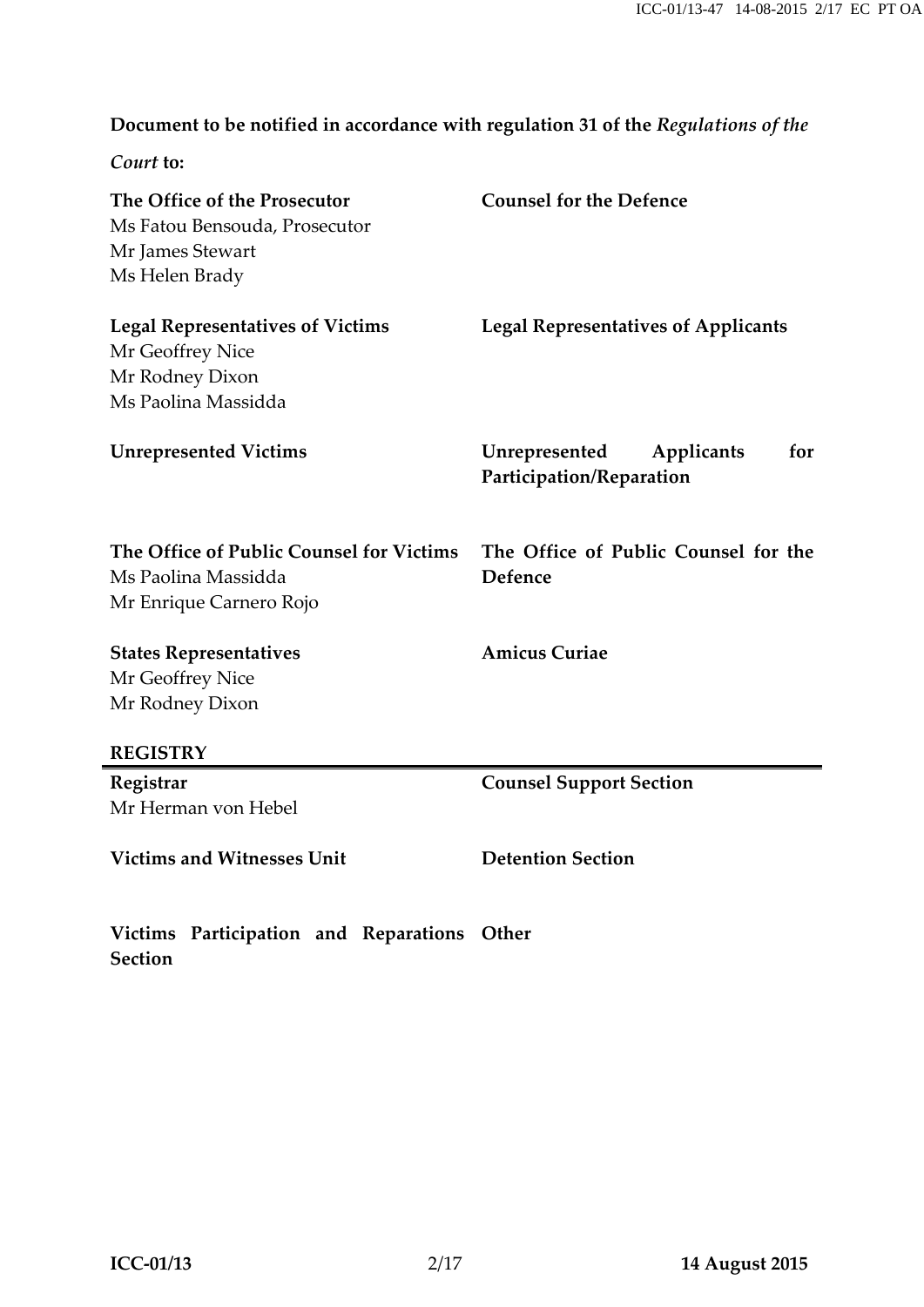## **Document to be notified in accordance with regulation 31 of the** *Regulations of the*

*Court* **to:**

| The Office of the Prosecutor<br>Ms Fatou Bensouda, Prosecutor<br>Mr James Stewart<br>Ms Helen Brady                                   | <b>Counsel for the Defence</b>                                 |
|---------------------------------------------------------------------------------------------------------------------------------------|----------------------------------------------------------------|
| <b>Legal Representatives of Victims</b><br>Mr Geoffrey Nice<br>Mr Rodney Dixon<br>Ms Paolina Massidda                                 | <b>Legal Representatives of Applicants</b>                     |
| <b>Unrepresented Victims</b>                                                                                                          | Unrepresented<br>for<br>Applicants<br>Participation/Reparation |
| The Office of Public Counsel for Victims<br>Ms Paolina Massidda<br>Mr Enrique Carnero Rojo                                            | The Office of Public Counsel for the<br><b>Defence</b>         |
| <b>States Representatives</b><br>Mr Geoffrey Nice<br>Mr Rodney Dixon                                                                  | <b>Amicus Curiae</b>                                           |
| <b>REGISTRY</b>                                                                                                                       |                                                                |
| Registrar<br>Mr Herman von Hebel                                                                                                      | <b>Counsel Support Section</b>                                 |
| <b>Victims and Witnesses Unit</b>                                                                                                     | <b>Detention Section</b>                                       |
| $\mathbf{v}^{n+1}$ and $\mathbf{v}^{n+1}$ and $\mathbf{v}^{n+1}$ and $\mathbf{v}^{n+1}$ and $\mathbf{v}^{n+1}$ and $\mathbf{v}^{n+1}$ |                                                                |

**Victims Participation and Reparations Other Section**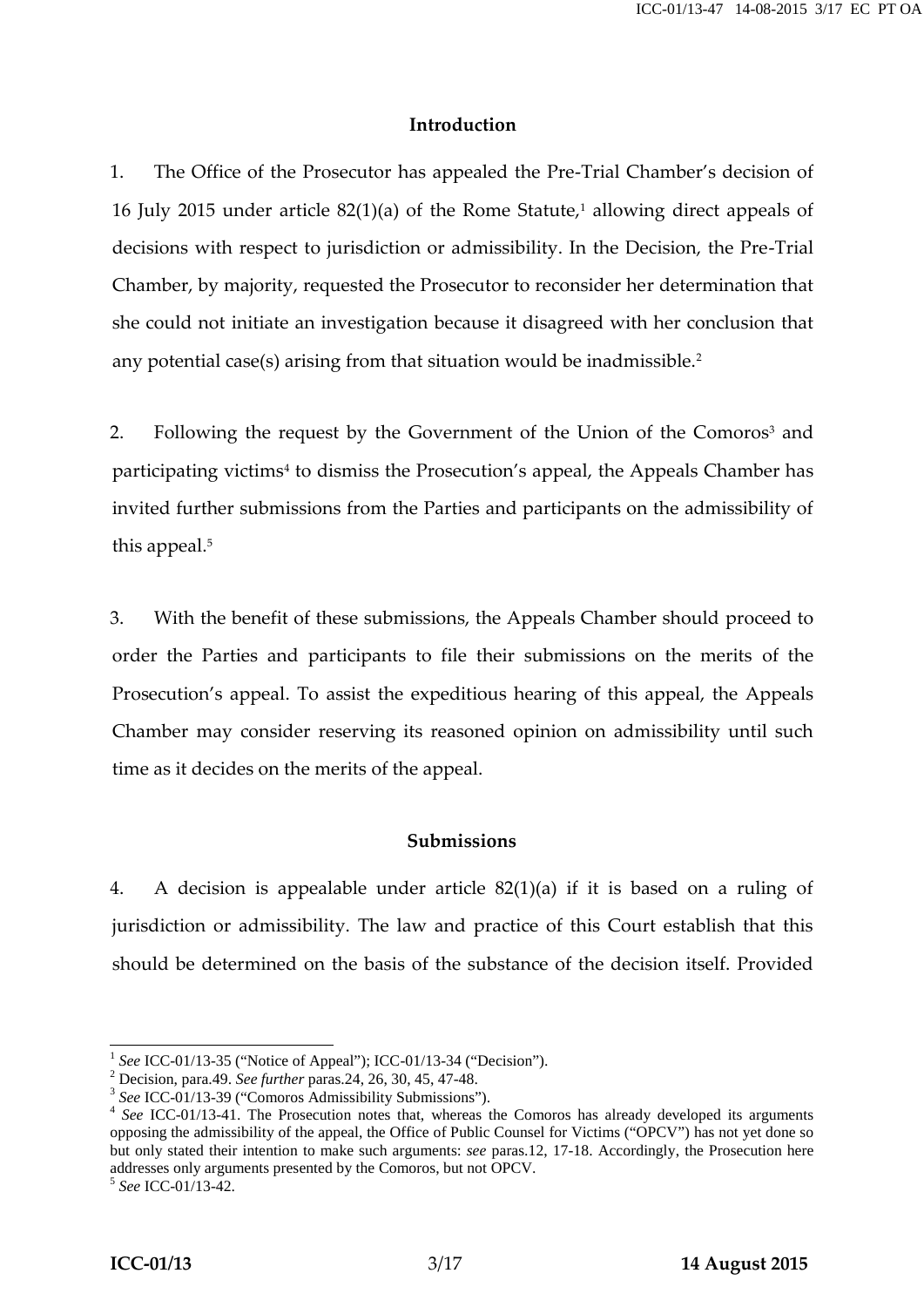#### **Introduction**

1. The Office of the Prosecutor has appealed the Pre-Trial Chamber's decision of 16 July 2015 under article  $82(1)(a)$  of the Rome Statute,<sup>1</sup> allowing direct appeals of decisions with respect to jurisdiction or admissibility. In the Decision, the Pre-Trial Chamber, by majority, requested the Prosecutor to reconsider her determination that she could not initiate an investigation because it disagreed with her conclusion that any potential case(s) arising from that situation would be inadmissible.<sup>2</sup>

2. Following the request by the Government of the Union of the Comoros<sup>3</sup> and participating victims<sup>4</sup> to dismiss the Prosecution's appeal, the Appeals Chamber has invited further submissions from the Parties and participants on the admissibility of this appeal.<sup>5</sup>

3. With the benefit of these submissions, the Appeals Chamber should proceed to order the Parties and participants to file their submissions on the merits of the Prosecution's appeal. To assist the expeditious hearing of this appeal, the Appeals Chamber may consider reserving its reasoned opinion on admissibility until such time as it decides on the merits of the appeal.

#### **Submissions**

4. A decision is appealable under article 82(1)(a) if it is based on a ruling of jurisdiction or admissibility. The law and practice of this Court establish that this should be determined on the basis of the substance of the decision itself. Provided

<sup>&</sup>lt;sup>1</sup> See ICC-01/13-35 ("Notice of Appeal"); ICC-01/13-34 ("Decision").<br>
<sup>2</sup> Decision, para.49. See further paras.24, 26, 30, 45, 47-48.<br>
<sup>3</sup> See ICC-01/13-39 ("Comoros Admissibility Submissions").<br>
<sup>4</sup> See ICC-01/13-41. Th opposing the admissibility of the appeal, the Office of Public Counsel for Victims ("OPCV") has not yet done so but only stated their intention to make such arguments: *see* paras.12, 17-18. Accordingly, the Prosecution here addresses only arguments presented by the Comoros, but not OPCV. <sup>5</sup> *See* ICC-01/13-42.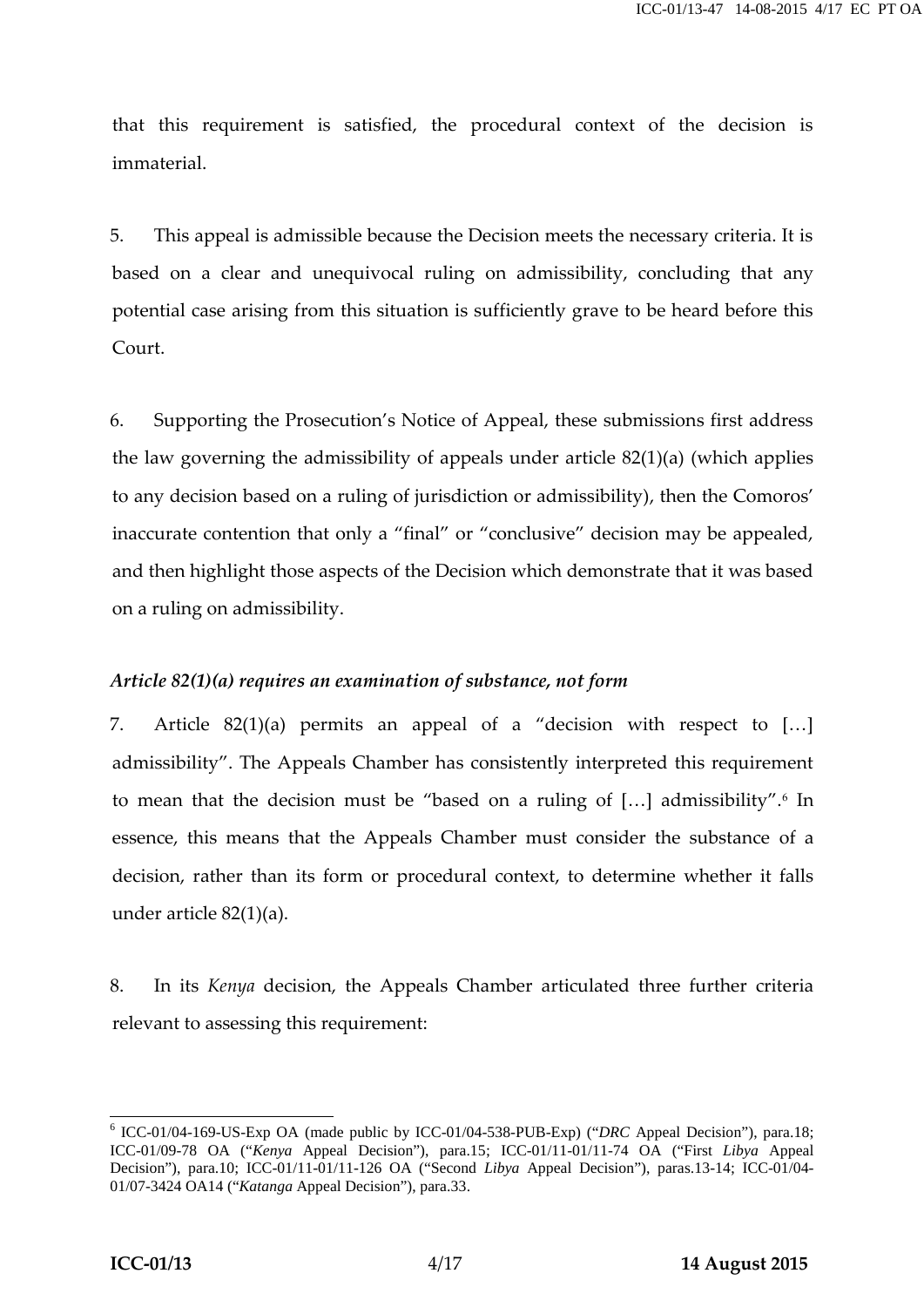that this requirement is satisfied, the procedural context of the decision is immaterial.

5. This appeal is admissible because the Decision meets the necessary criteria. It is based on a clear and unequivocal ruling on admissibility, concluding that any potential case arising from this situation is sufficiently grave to be heard before this Court.

6. Supporting the Prosecution's Notice of Appeal, these submissions first address the law governing the admissibility of appeals under article 82(1)(a) (which applies to any decision based on a ruling of jurisdiction or admissibility), then the Comoros' inaccurate contention that only a "final" or "conclusive" decision may be appealed, and then highlight those aspects of the Decision which demonstrate that it was based on a ruling on admissibility.

#### *Article 82(1)(a) requires an examination of substance, not form*

7. Article 82(1)(a) permits an appeal of a "decision with respect to […] admissibility". The Appeals Chamber has consistently interpreted this requirement to mean that the decision must be "based on a ruling of [...] admissibility".<sup>6</sup> In essence, this means that the Appeals Chamber must consider the substance of a decision, rather than its form or procedural context, to determine whether it falls under article 82(1)(a).

8. In its *Kenya* decision, the Appeals Chamber articulated three further criteria relevant to assessing this requirement:

<sup>6</sup> ICC-01/04-169-US-Exp OA (made public by ICC-01/04-538-PUB-Exp) ("*DRC* Appeal Decision"), para.18; ICC-01/09-78 OA ("*Kenya* Appeal Decision"), para.15; ICC-01/11-01/11-74 OA ("First *Libya* Appeal Decision"), para.10; ICC-01/11-01/11-126 OA ("Second *Libya* Appeal Decision"), paras.13-14; ICC-01/04- 01/07-3424 OA14 ("*Katanga* Appeal Decision"), para.33.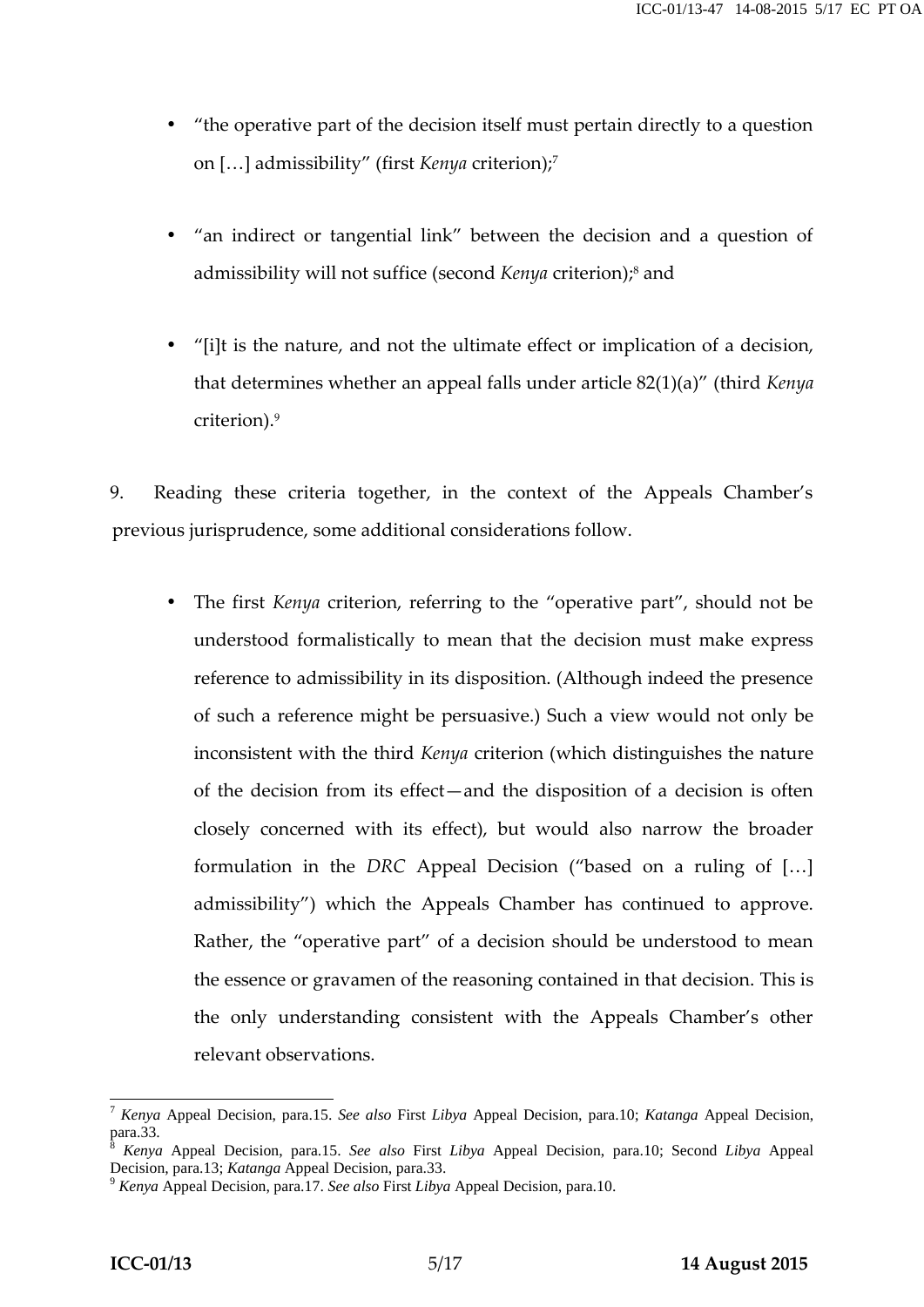- "the operative part of the decision itself must pertain directly to a question on […] admissibility" (first *Kenya* criterion);<sup>7</sup>
- "an indirect or tangential link" between the decision and a question of admissibility will not suffice (second *Kenya* criterion);<sup>8</sup> and
- "[i]t is the nature, and not the ultimate effect or implication of a decision, that determines whether an appeal falls under article 82(1)(a)" (third *Kenya* criterion).<sup>9</sup>

9. Reading these criteria together, in the context of the Appeals Chamber's previous jurisprudence, some additional considerations follow.

 The first *Kenya* criterion, referring to the "operative part", should not be understood formalistically to mean that the decision must make express reference to admissibility in its disposition. (Although indeed the presence of such a reference might be persuasive.) Such a view would not only be inconsistent with the third *Kenya* criterion (which distinguishes the nature of the decision from its effect—and the disposition of a decision is often closely concerned with its effect), but would also narrow the broader formulation in the *DRC* Appeal Decision ("based on a ruling of […] admissibility") which the Appeals Chamber has continued to approve. Rather, the "operative part" of a decision should be understood to mean the essence or gravamen of the reasoning contained in that decision. This is the only understanding consistent with the Appeals Chamber's other relevant observations.

<sup>7</sup> *Kenya* Appeal Decision, para.15. *See also* First *Libya* Appeal Decision, para.10; *Katanga* Appeal Decision,

<sup>&</sup>lt;sup>8</sup> *Kenya* Appeal Decision, para.15. *See also* First *Libya* Appeal Decision, para.10; Second *Libya* Appeal Decision, para.13; *Katanga* Appeal Decision, para.33.

Decision, para.13; *Katanga* Appeal Decision, para.33. <sup>9</sup> *Kenya* Appeal Decision, para.17. *See also* First *Libya* Appeal Decision, para.10.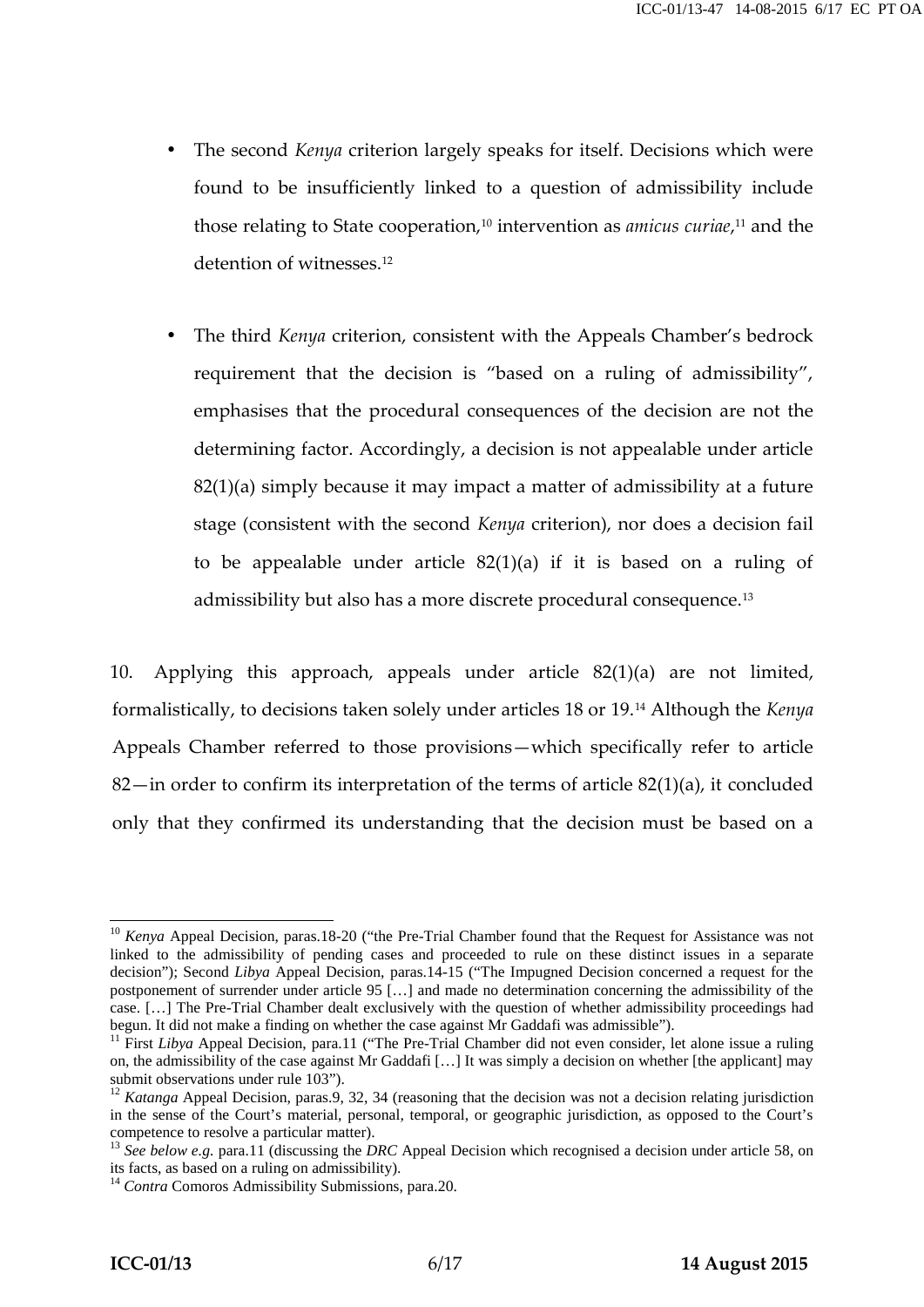- The second *Kenya* criterion largely speaks for itself. Decisions which were found to be insufficiently linked to a question of admissibility include those relating to State cooperation,<sup>10</sup> intervention as *amicus curiae*,<sup>11</sup> and the detention of witnesses.<sup>12</sup>
- The third *Kenya* criterion, consistent with the Appeals Chamber's bedrock requirement that the decision is "based on a ruling of admissibility", emphasises that the procedural consequences of the decision are not the determining factor. Accordingly, a decision is not appealable under article 82(1)(a) simply because it may impact a matter of admissibility at a future stage (consistent with the second *Kenya* criterion), nor does a decision fail to be appealable under article 82(1)(a) if it is based on a ruling of admissibility but also has a more discrete procedural consequence.<sup>13</sup>

10. Applying this approach, appeals under article 82(1)(a) are not limited, formalistically, to decisions taken solely under articles 18 or 19.<sup>14</sup> Although the *Kenya* Appeals Chamber referred to those provisions—which specifically refer to article 82—in order to confirm its interpretation of the terms of article  $82(1)(a)$ , it concluded only that they confirmed its understanding that the decision must be based on a

<sup>&</sup>lt;sup>10</sup> *Kenya* Appeal Decision, paras.18-20 ("the Pre-Trial Chamber found that the Request for Assistance was not linked to the admissibility of pending cases and proceeded to rule on these distinct issues in a separate decision"); Second *Libya* Appeal Decision, paras.14-15 ("The Impugned Decision concerned a request for the postponement of surrender under article 95 […] and made no determination concerning the admissibility of the case. […] The Pre-Trial Chamber dealt exclusively with the question of whether admissibility proceedings had begun. It did not make a finding on whether the case against Mr Gaddafi was admissible"). <sup>11</sup> First *Libya* Appeal Decision, para.11 ("The Pre-Trial Chamber did not even consider, let alone issue a ruling

on, the admissibility of the case against Mr Gaddafi [...] It was simply a decision on whether [the applicant] may submit observations under rule 103").

<sup>&</sup>lt;sup>12</sup> *Katanga* Appeal Decision, paras.9, 32, 34 (reasoning that the decision was not a decision relating jurisdiction in the sense of the Court's material, personal, temporal, or geographic jurisdiction, as opposed to the Court's

competence to resolve a particular matter).<br><sup>13</sup> *See below e.g.* para.11 (discussing the *DRC* Appeal Decision which recognised a decision under article 58, on its facts, as based on a ruling on admissibility).

<sup>&</sup>lt;sup>14</sup> *Contra* Comoros Admissibility Submissions, para.20.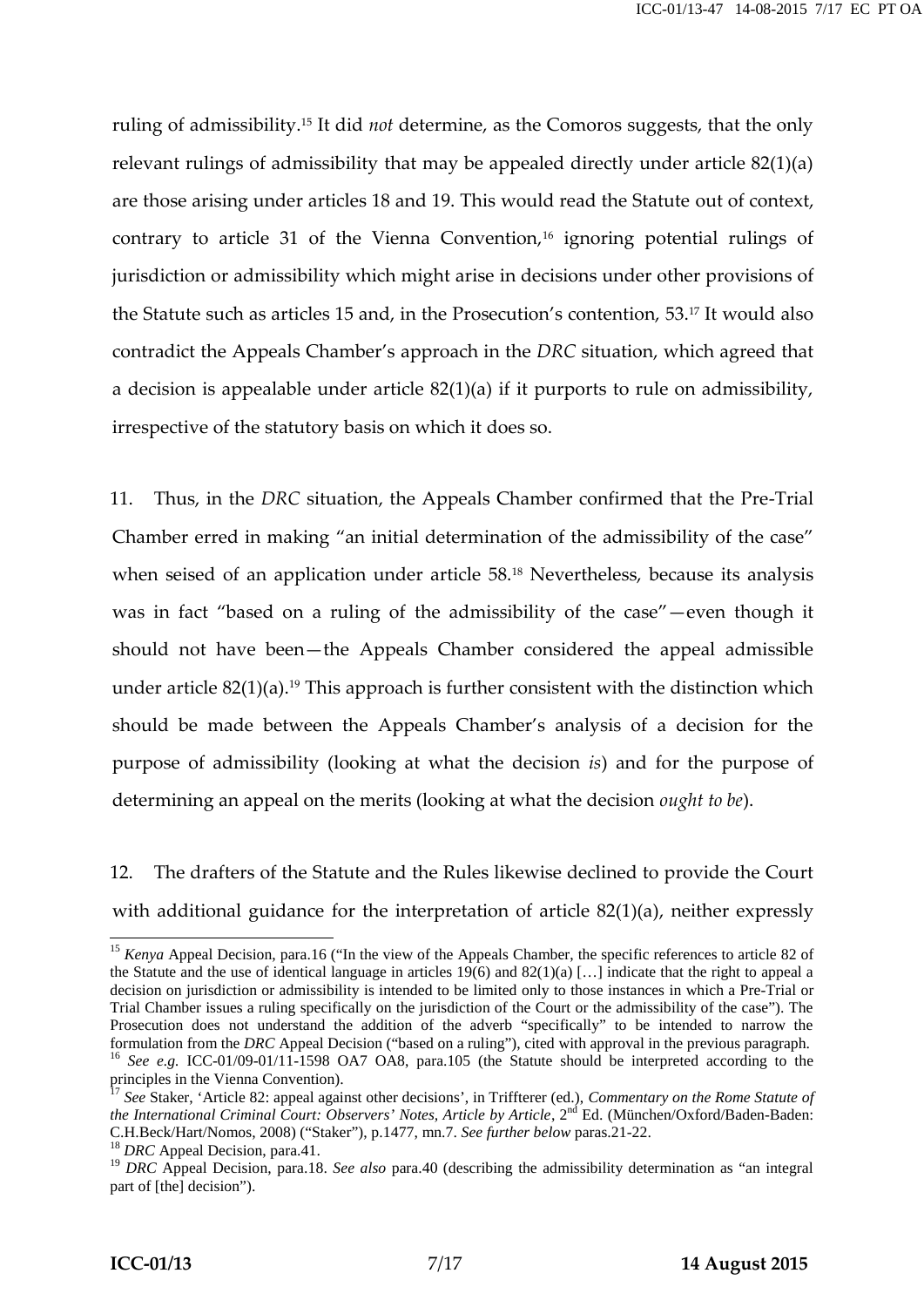ruling of admissibility.<sup>15</sup> It did *not* determine, as the Comoros suggests, that the only relevant rulings of admissibility that may be appealed directly under article 82(1)(a) are those arising under articles 18 and 19. This would read the Statute out of context, contrary to article 31 of the Vienna Convention,<sup>16</sup> ignoring potential rulings of jurisdiction or admissibility which might arise in decisions under other provisions of the Statute such as articles 15 and, in the Prosecution's contention, 53.<sup>17</sup> It would also contradict the Appeals Chamber's approach in the *DRC* situation, which agreed that a decision is appealable under article 82(1)(a) if it purports to rule on admissibility, irrespective of the statutory basis on which it does so.

11. Thus, in the *DRC* situation, the Appeals Chamber confirmed that the Pre-Trial Chamber erred in making "an initial determination of the admissibility of the case" when seised of an application under article 58.<sup>18</sup> Nevertheless, because its analysis was in fact "based on a ruling of the admissibility of the case"—even though it should not have been—the Appeals Chamber considered the appeal admissible under article  $82(1)(a)$ .<sup>19</sup> This approach is further consistent with the distinction which should be made between the Appeals Chamber's analysis of a decision for the purpose of admissibility (looking at what the decision *is*) and for the purpose of determining an appeal on the merits (looking at what the decision *ought to be*).

12. The drafters of the Statute and the Rules likewise declined to provide the Court with additional guidance for the interpretation of article 82(1)(a), neither expressly

<sup>&</sup>lt;sup>15</sup> *Kenya* Appeal Decision, para.16 ("In the view of the Appeals Chamber, the specific references to article 82 of the Statute and the use of identical language in articles  $19(6)$  and  $82(1)(a)$  [...] indicate that the right to appeal a decision on jurisdiction or admissibility is intended to be limited only to those instances in which a Pre-Trial or Trial Chamber issues a ruling specifically on the jurisdiction of the Court or the admissibility of the case"). The Prosecution does not understand the addition of the adverb "specifically" to be intended to narrow the formulation from the *DRC* Appeal Decision ("based on a ruling"), cited with approval in the previous paragraph. <sup>16</sup> See e.g. ICC-01/09-01/11-1598 OA7 OA8, para.105 (the Statute should be interpreted according to the

principles in the Vienna Convention). <sup>17</sup> *See* Staker, 'Article 82: appeal against other decisions', in Triffterer (ed.), *Commentary on the Rome Statute of the International Criminal Court: Observers' Notes, Article by Article, 2<sup>nd</sup> Ed. (München/Oxford/Baden-Baden:* C.H.Beck/Hart/Nomos, 2008) ("Staker"), p.1477, mn.7. See further below paras.21-22.<br><sup>18</sup> DRC Appeal Decision, para.41.<br><sup>19</sup> DRC Appeal Decision, para.18. See also para.40 (describing the admissibility determination as "an

part of [the] decision").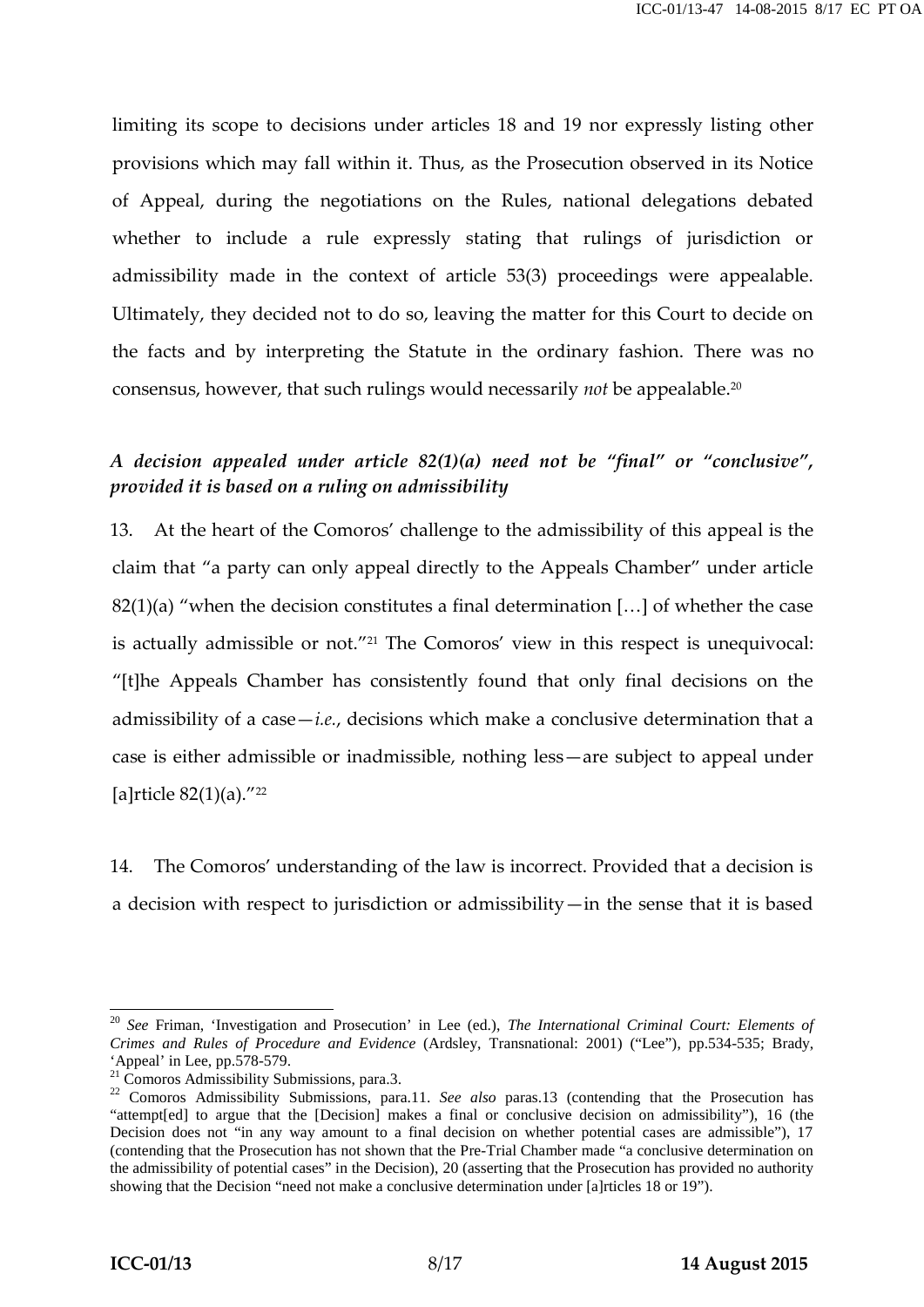limiting its scope to decisions under articles 18 and 19 nor expressly listing other provisions which may fall within it. Thus, as the Prosecution observed in its Notice of Appeal, during the negotiations on the Rules, national delegations debated whether to include a rule expressly stating that rulings of jurisdiction or admissibility made in the context of article 53(3) proceedings were appealable. Ultimately, they decided not to do so, leaving the matter for this Court to decide on the facts and by interpreting the Statute in the ordinary fashion. There was no consensus, however, that such rulings would necessarily *not* be appealable.<sup>20</sup>

## *A decision appealed under article 82(1)(a) need not be "final" or "conclusive", provided it is based on a ruling on admissibility*

13. At the heart of the Comoros' challenge to the admissibility of this appeal is the claim that "a party can only appeal directly to the Appeals Chamber" under article  $82(1)(a)$  "when the decision constitutes a final determination [...] of whether the case is actually admissible or not."<sup>21</sup> The Comoros' view in this respect is unequivocal: "[t]he Appeals Chamber has consistently found that only final decisions on the admissibility of a case—*i.e.*, decisions which make a conclusive determination that a case is either admissible or inadmissible, nothing less—are subject to appeal under [a]rticle  $82(1)(a)$ ."<sup>22</sup>

14. The Comoros' understanding of the law is incorrect. Provided that a decision is a decision with respect to jurisdiction or admissibility—in the sense that it is based

<sup>20</sup> *See* Friman, 'Investigation and Prosecution' in Lee (ed.), *The International Criminal Court: Elements of Crimes and Rules of Procedure and Evidence* (Ardsley, Transnational: 2001) ("Lee"), pp.534-535; Brady,

<sup>&</sup>lt;sup>21</sup> Comoros Admissibility Submissions, para.3.<br><sup>22</sup> Comoros Admissibility Submissions, para.11. *See also* paras.13 (contending that the Prosecution has "attempt[ed] to argue that the [Decision] makes a final or conclusive decision on admissibility"), 16 (the Decision does not "in any way amount to a final decision on whether potential cases are admissible"), 17 (contending that the Prosecution has not shown that the Pre-Trial Chamber made "a conclusive determination on the admissibility of potential cases" in the Decision), 20 (asserting that the Prosecution has provided no authority showing that the Decision "need not make a conclusive determination under [a]rticles 18 or 19").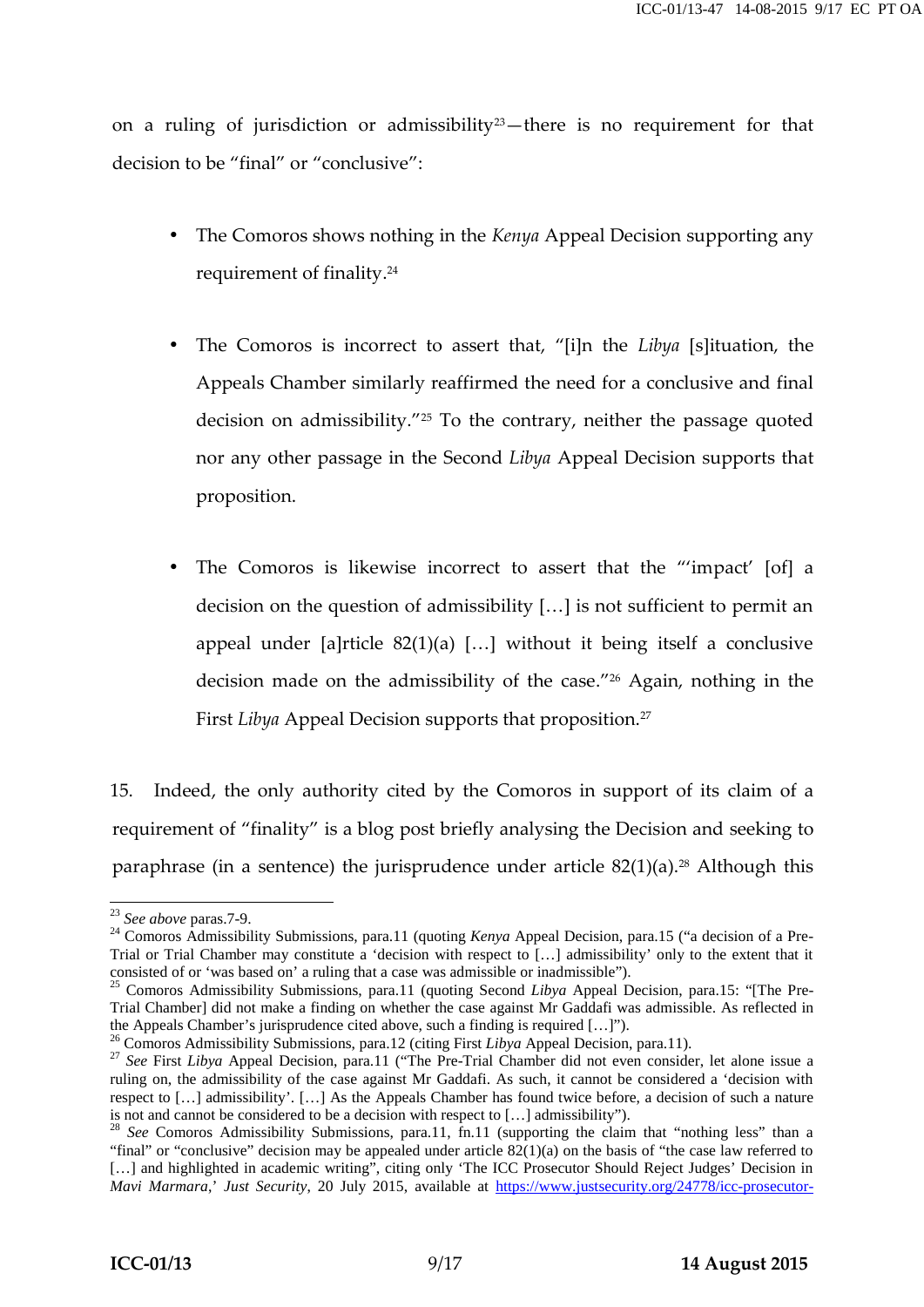on a ruling of jurisdiction or admissibility<sup>23</sup>—there is no requirement for that decision to be "final" or "conclusive":

- The Comoros shows nothing in the *Kenya* Appeal Decision supporting any requirement of finality.<sup>24</sup>
- The Comoros is incorrect to assert that, "[i]n the *Libya* [s]ituation, the Appeals Chamber similarly reaffirmed the need for a conclusive and final decision on admissibility."<sup>25</sup> To the contrary, neither the passage quoted nor any other passage in the Second *Libya* Appeal Decision supports that proposition.
- The Comoros is likewise incorrect to assert that the "'impact' [of] a decision on the question of admissibility […] is not sufficient to permit an appeal under [a]rticle 82(1)(a) […] without it being itself a conclusive decision made on the admissibility of the case." <sup>26</sup> Again, nothing in the First *Libya* Appeal Decision supports that proposition.<sup>27</sup>

15. Indeed, the only authority cited by the Comoros in support of its claim of a requirement of "finality" is a blog post briefly analysing the Decision and seeking to paraphrase (in a sentence) the jurisprudence under article  $82(1)(a)$ .<sup>28</sup> Although this

<sup>&</sup>lt;sup>23</sup> See above paras.7-9.<br><sup>24</sup> Comoros Admissibility Submissions, para.11 (quoting *Kenya* Appeal Decision, para.15 ("a decision of a Pre-Trial or Trial Chamber may constitute a 'decision with respect to […] admissibility' only to the extent that it consisted of or 'was based on' a ruling that a case was admissible or inadmissible"). <sup>25</sup> Comoros Admissibility Submissions, para.11 (quoting Second *Libya* Appeal Decision, para.15: "[The Pre-

Trial Chamber] did not make a finding on whether the case against Mr Gaddafi was admissible. As reflected in

the Appeals Chamber's jurisprudence cited above, such a finding is required [...]").<br><sup>26</sup> Comoros Admissibility Submissions, para.12 (citing First *Libya* Appeal Decision, para.11).<br><sup>27</sup> See First *Libya* Appeal Decision, ruling on, the admissibility of the case against Mr Gaddafi. As such, it cannot be considered a 'decision with respect to [...] admissibility'. [...] As the Appeals Chamber has found twice before, a decision of such a nature is not and cannot be considered to be a decision with respect to [...] admissibility'').

<sup>&</sup>lt;sup>28</sup> See Comoros Admissibility Submissions, para.11, fn.11 (supporting the claim that "nothing less" than a "final" or "conclusive" decision may be appealed under article 82(1)(a) on the basis of "the case law referred to [...] and highlighted in academic writing", citing only 'The ICC Prosecutor Should Reject Judges' Decision in *Mavi Marmara*,' *Just Security*, 20 July 2015, available at https://www.justsecurity.org/24778/icc-prosecutor-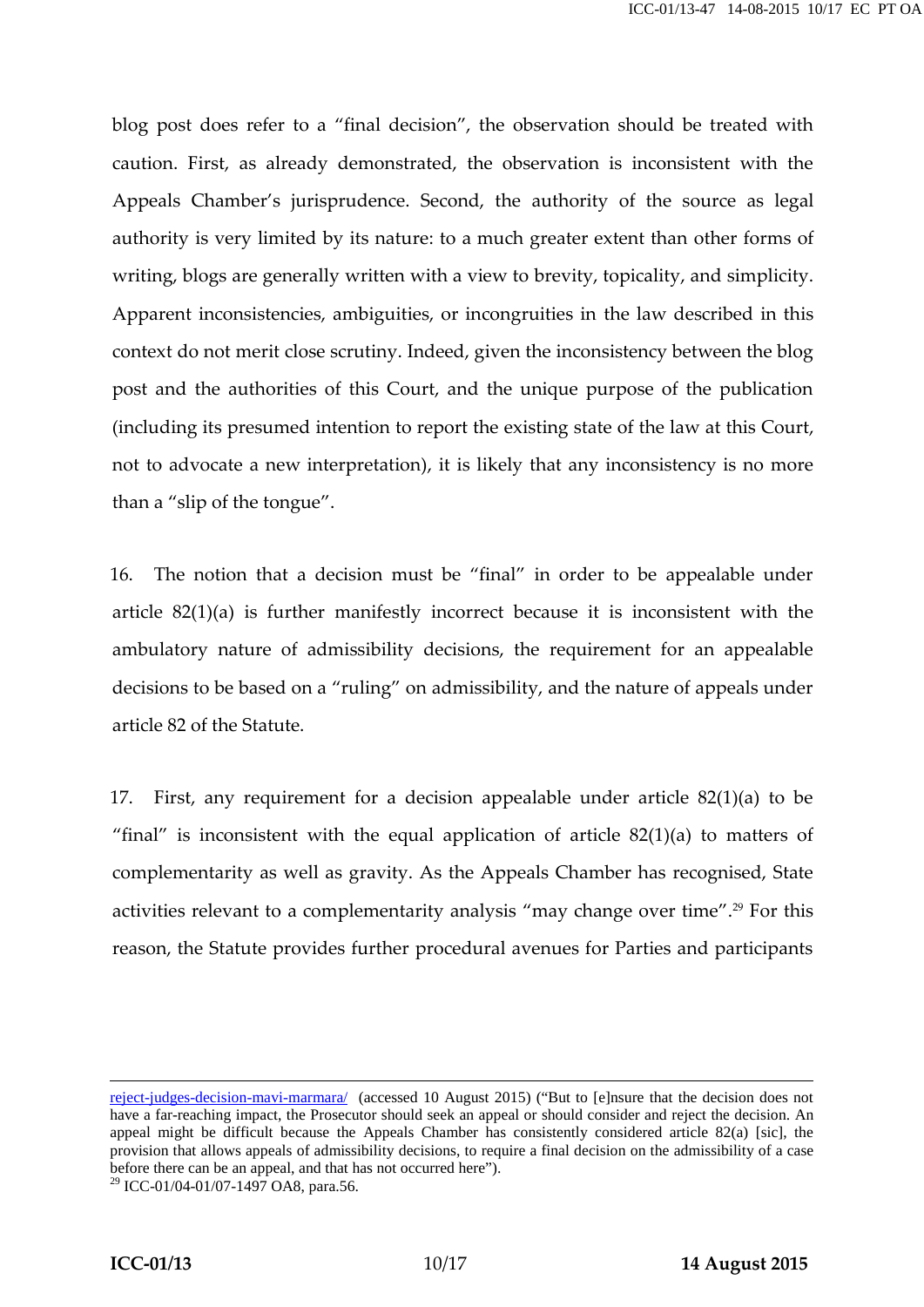blog post does refer to a "final decision", the observation should be treated with caution. First, as already demonstrated, the observation is inconsistent with the Appeals Chamber's jurisprudence. Second, the authority of the source as legal authority is very limited by its nature: to a much greater extent than other forms of writing, blogs are generally written with a view to brevity, topicality, and simplicity. Apparent inconsistencies, ambiguities, or incongruities in the law described in this context do not merit close scrutiny. Indeed, given the inconsistency between the blog post and the authorities of this Court, and the unique purpose of the publication (including its presumed intention to report the existing state of the law at this Court, not to advocate a new interpretation), it is likely that any inconsistency is no more than a "slip of the tongue".

16. The notion that a decision must be "final" in order to be appealable under article 82(1)(a) is further manifestly incorrect because it is inconsistent with the ambulatory nature of admissibility decisions, the requirement for an appealable decisions to be based on a "ruling" on admissibility, and the nature of appeals under article 82 of the Statute.

17. First, any requirement for a decision appealable under article 82(1)(a) to be "final" is inconsistent with the equal application of article  $82(1)(a)$  to matters of complementarity as well as gravity. As the Appeals Chamber has recognised, State activities relevant to a complementarity analysis "may change over time".<sup>29</sup> For this reason, the Statute provides further procedural avenues for Parties and participants

reject-judges-decision-mavi-marmara/ (accessed 10 August 2015) ("But to [e]nsure that the decision does not have a far-reaching impact, the Prosecutor should seek an appeal or should consider and reject the decision. An appeal might be difficult because the Appeals Chamber has consistently considered article 82(a) [sic], the provision that allows appeals of admissibility decisions, to require a final decision on the admissibility of a case before there can be an appeal, and that has not occurred here").

 $^{29}$  ICC-01/04-01/07-1497 OA8, para.56.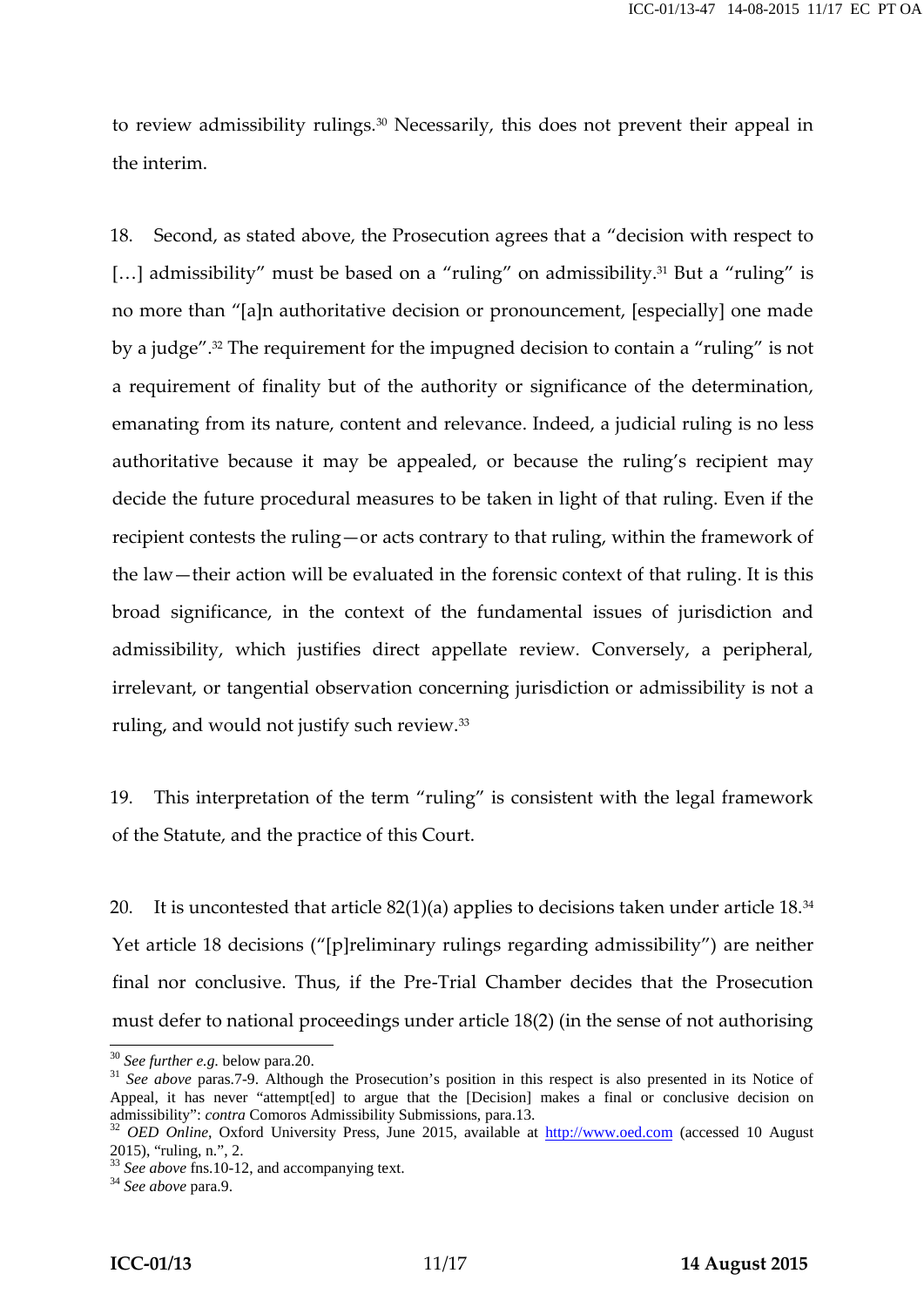to review admissibility rulings.<sup>30</sup> Necessarily, this does not prevent their appeal in the interim.

18. Second, as stated above, the Prosecution agrees that a "decision with respect to [...] admissibility" must be based on a "ruling" on admissibility.<sup>31</sup> But a "ruling" is no more than "[a]n authoritative decision or pronouncement, [especially] one made by a judge".<sup>32</sup> The requirement for the impugned decision to contain a "ruling" is not a requirement of finality but of the authority or significance of the determination, emanating from its nature, content and relevance. Indeed, a judicial ruling is no less authoritative because it may be appealed, or because the ruling's recipient may decide the future procedural measures to be taken in light of that ruling. Even if the recipient contests the ruling—or acts contrary to that ruling, within the framework of the law—their action will be evaluated in the forensic context of that ruling. It is this broad significance, in the context of the fundamental issues of jurisdiction and admissibility, which justifies direct appellate review. Conversely, a peripheral, irrelevant, or tangential observation concerning jurisdiction or admissibility is not a ruling, and would not justify such review.<sup>33</sup>

19. This interpretation of the term "ruling" is consistent with the legal framework of the Statute, and the practice of this Court.

20. It is uncontested that article  $82(1)(a)$  applies to decisions taken under article 18.<sup>34</sup> Yet article 18 decisions ("[p]reliminary rulings regarding admissibility") are neither final nor conclusive. Thus, if the Pre-Trial Chamber decides that the Prosecution must defer to national proceedings under article 18(2) (in the sense of not authorising

<sup>&</sup>lt;sup>30</sup> *See further e.g.* below para.20. **31** *See above* paras.7-9. Although the Prosecution's position in this respect is also presented in its Notice of **Superior** Appeal, it has never "attempt[ed] to argue that the [Decision] makes a final or conclusive decision on admissibility": *contra* Comoros Admissibility Submissions, para.13.<br><sup>32</sup> *OED Online*, Oxford University Press, June 2015, available at <u>http://www.oed.com</u> (accessed 10 August

<sup>2015), &</sup>quot;ruling, n.", 2. <sup>33</sup> *See above* fns.10-12, and accompanying text. <sup>34</sup> *See above* para.9.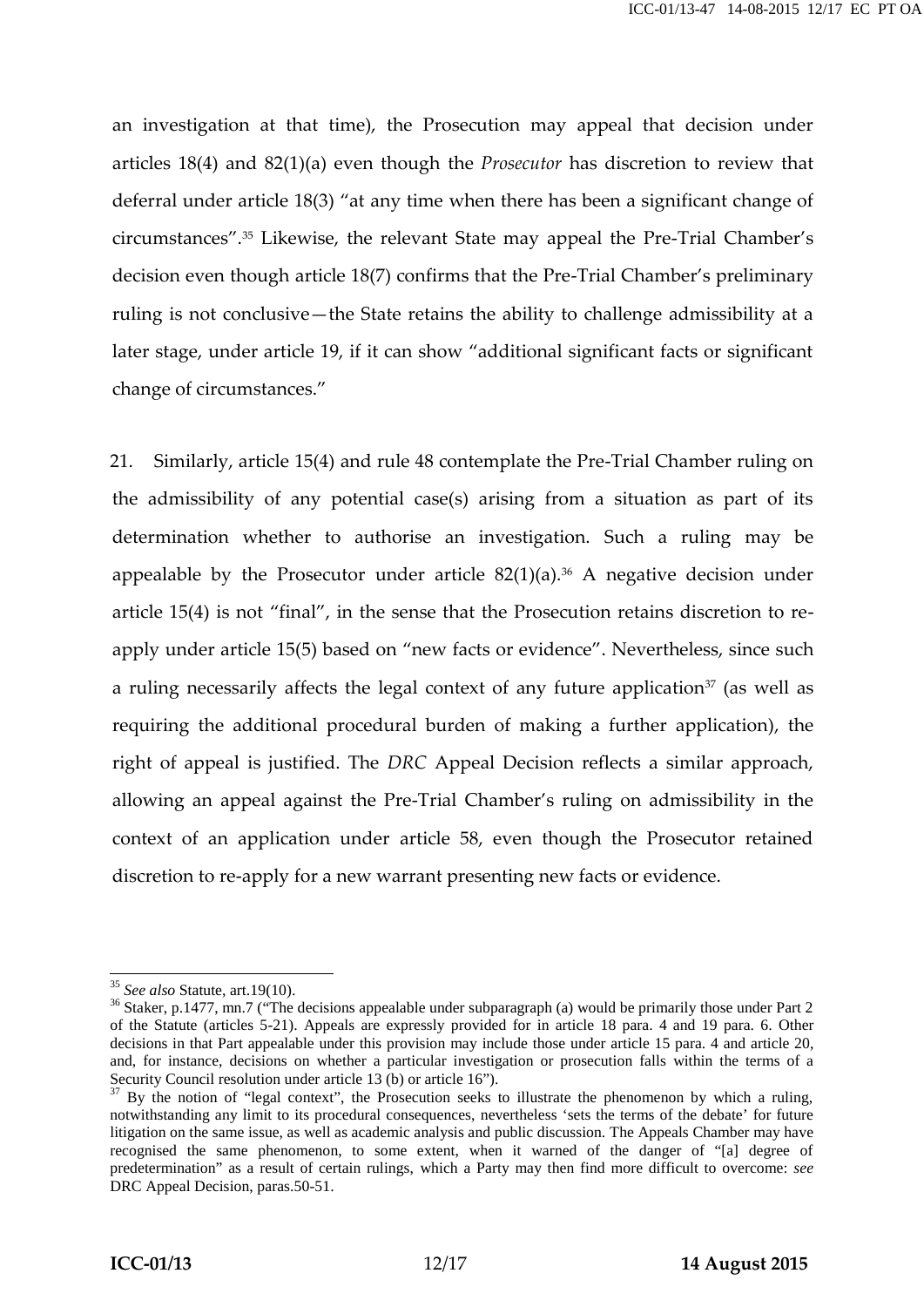an investigation at that time), the Prosecution may appeal that decision under articles 18(4) and 82(1)(a) even though the *Prosecutor* has discretion to review that deferral under article 18(3) "at any time when there has been a significant change of circumstances".<sup>35</sup> Likewise, the relevant State may appeal the Pre-Trial Chamber's decision even though article 18(7) confirms that the Pre-Trial Chamber's preliminary ruling is not conclusive—the State retains the ability to challenge admissibility at a later stage, under article 19, if it can show "additional significant facts or significant change of circumstances."

21. Similarly, article 15(4) and rule 48 contemplate the Pre-Trial Chamber ruling on the admissibility of any potential case(s) arising from a situation as part of its determination whether to authorise an investigation. Such a ruling may be appealable by the Prosecutor under article  $82(1)(a)$ .<sup>36</sup> A negative decision under article 15(4) is not "final", in the sense that the Prosecution retains discretion to re apply under article 15(5) based on "new facts or evidence". Nevertheless, since such a ruling necessarily affects the legal context of any future application<sup>37</sup> (as well as requiring the additional procedural burden of making a further application), the right of appeal is justified. The *DRC* Appeal Decision reflects a similar approach, allowing an appeal against the Pre-Trial Chamber's ruling on admissibility in the context of an application under article 58, even though the Prosecutor retained discretion to re-apply for a new warrant presenting new facts or evidence.

<sup>&</sup>lt;sup>35</sup> *See also* Statute, art.19(10).<br><sup>36</sup> Staker, p.1477, mn.7 ("The decisions appealable under subparagraph (a) would be primarily those under Part 2 of the Statute (articles 5-21). Appeals are expressly provided for in article 18 para. 4 and 19 para. 6. Other decisions in that Part appealable under this provision may include those under article 15 para. 4 and article 20, and, for instance, decisions on whether a particular investigation or prosecution falls within the terms of a Security Council resolution under article 13 (b) or article 16").<br><sup>37</sup> By the notion of "legal context", the Prosecution seeks to illustrate the phenomenon by which a ruling,

notwithstanding any limit to its procedural consequences, nevertheless 'sets the terms of the debate' for future litigation on the same issue, as well as academic analysis and public discussion. The Appeals Chamber may have recognised the same phenomenon, to some extent, when it warned of the danger of "[a] degree of predetermination" as a result of certain rulings, which a Party may then find more difficult to overcome: *see* DRC Appeal Decision, paras.50-51.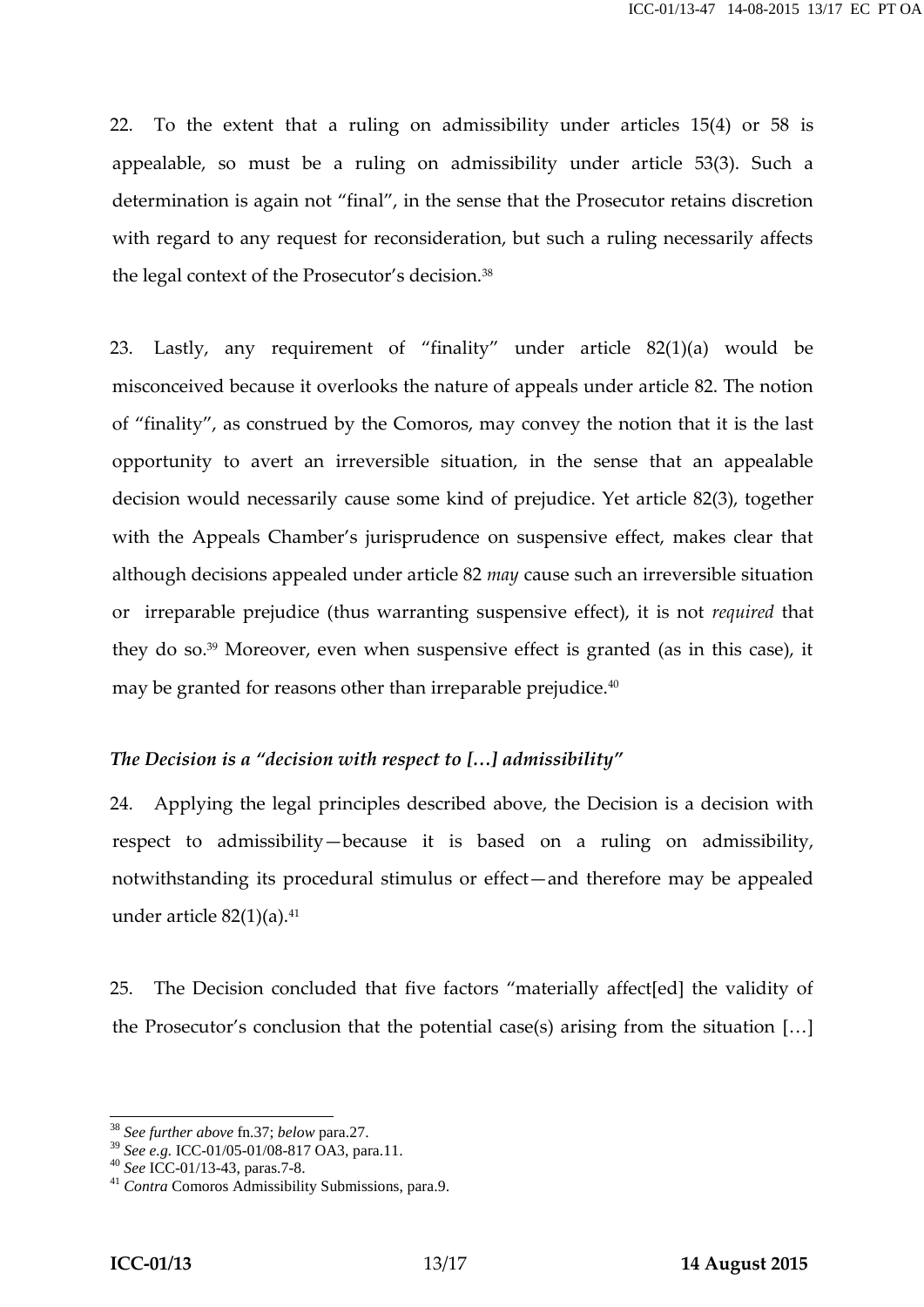22. To the extent that a ruling on admissibility under articles 15(4) or 58 is appealable, so must be a ruling on admissibility under article 53(3). Such a determination is again not "final", in the sense that the Prosecutor retains discretion with regard to any request for reconsideration, but such a ruling necessarily affects the legal context of the Prosecutor's decision.<sup>38</sup>

23. Lastly, any requirement of "finality" under article 82(1)(a) would be misconceived because it overlooks the nature of appeals under article 82. The notion of "finality", as construed by the Comoros, may convey the notion that it is the last opportunity to avert an irreversible situation, in the sense that an appealable decision would necessarily cause some kind of prejudice. Yet article 82(3), together with the Appeals Chamber's jurisprudence on suspensive effect, makes clear that although decisions appealed under article 82 *may* cause such an irreversible situation or irreparable prejudice (thus warranting suspensive effect), it is not *required* that they do so.<sup>39</sup> Moreover, even when suspensive effect is granted (as in this case), it may be granted for reasons other than irreparable prejudice.<sup>40</sup>

### *The Decision is a "decision with respect to […] admissibility"*

24. Applying the legal principles described above, the Decision is a decision with respect to admissibility—because it is based on a ruling on admissibility, notwithstanding its procedural stimulus or effect—and therefore may be appealed under article  $82(1)(a)$ .<sup>41</sup>

25. The Decision concluded that five factors "materially affect[ed] the validity of the Prosecutor's conclusion that the potential case(s) arising from the situation […]

<sup>&</sup>lt;sup>38</sup> *See further above* fn.37; *below* para.27.<br><sup>39</sup> *See e.g.* ICC-01/05-01/08-817 OA3, para.11.<br><sup>40</sup> *See* ICC-01/13-43, paras.7-8.<br><sup>41</sup> *Contra* Comoros Admissibility Submissions, para.9.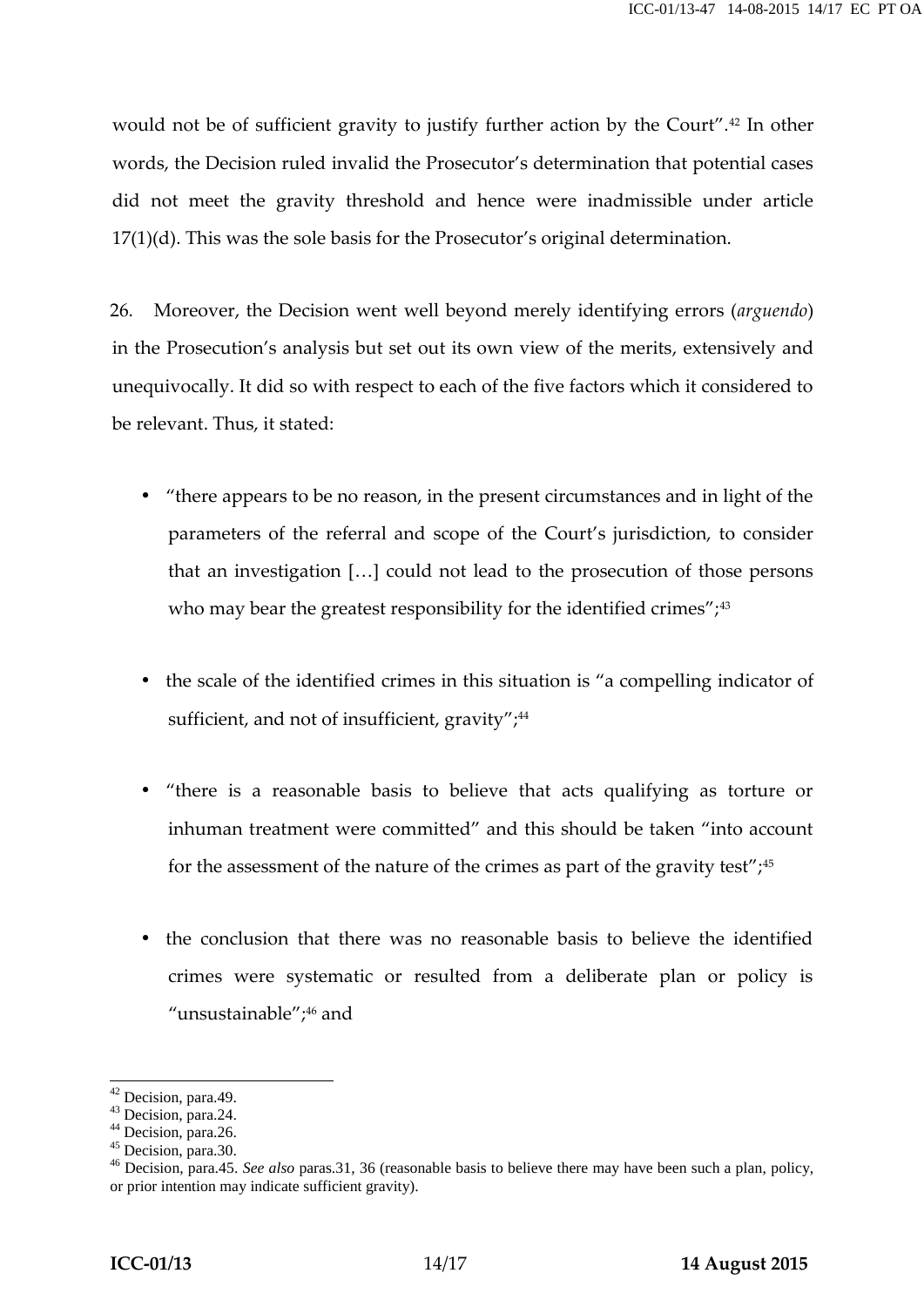would not be of sufficient gravity to justify further action by the Court".<sup>42</sup> In other words, the Decision ruled invalid the Prosecutor's determination that potential cases did not meet the gravity threshold and hence were inadmissible under article 17(1)(d). This was the sole basis for the Prosecutor's original determination.

26. Moreover, the Decision went well beyond merely identifying errors (*arguendo*) in the Prosecution's analysis but set out its own view of the merits, extensively and unequivocally. It did so with respect to each of the five factors which it considered to be relevant. Thus, it stated:

- "there appears to be no reason, in the present circumstances and in light of the parameters of the referral and scope of the Court's jurisdiction, to consider that an investigation […] could not lead to the prosecution of those persons who may bear the greatest responsibility for the identified crimes"; $43$
- the scale of the identified crimes in this situation is "a compelling indicator of sufficient, and not of insufficient, gravity";<sup>44</sup>
- "there is a reasonable basis to believe that acts qualifying as torture or inhuman treatment were committed" and this should be taken "into account for the assessment of the nature of the crimes as part of the gravity test";<sup>45</sup>
- the conclusion that there was no reasonable basis to believe the identified crimes were systematic or resulted from a deliberate plan or policy is "unsustainable";<sup>46</sup> and

<sup>42</sup> Decision, para.49.<br>
<sup>43</sup> Decision, para.24.<br>
<sup>44</sup> Decision, para.26.<br>
<sup>45</sup> Decision, para.45. *See also* paras.31, 36 (reasonable basis to believe there may have been such a plan, policy,<br>
<sup>46</sup> Decision, para.45. *See a* or prior intention may indicate sufficient gravity).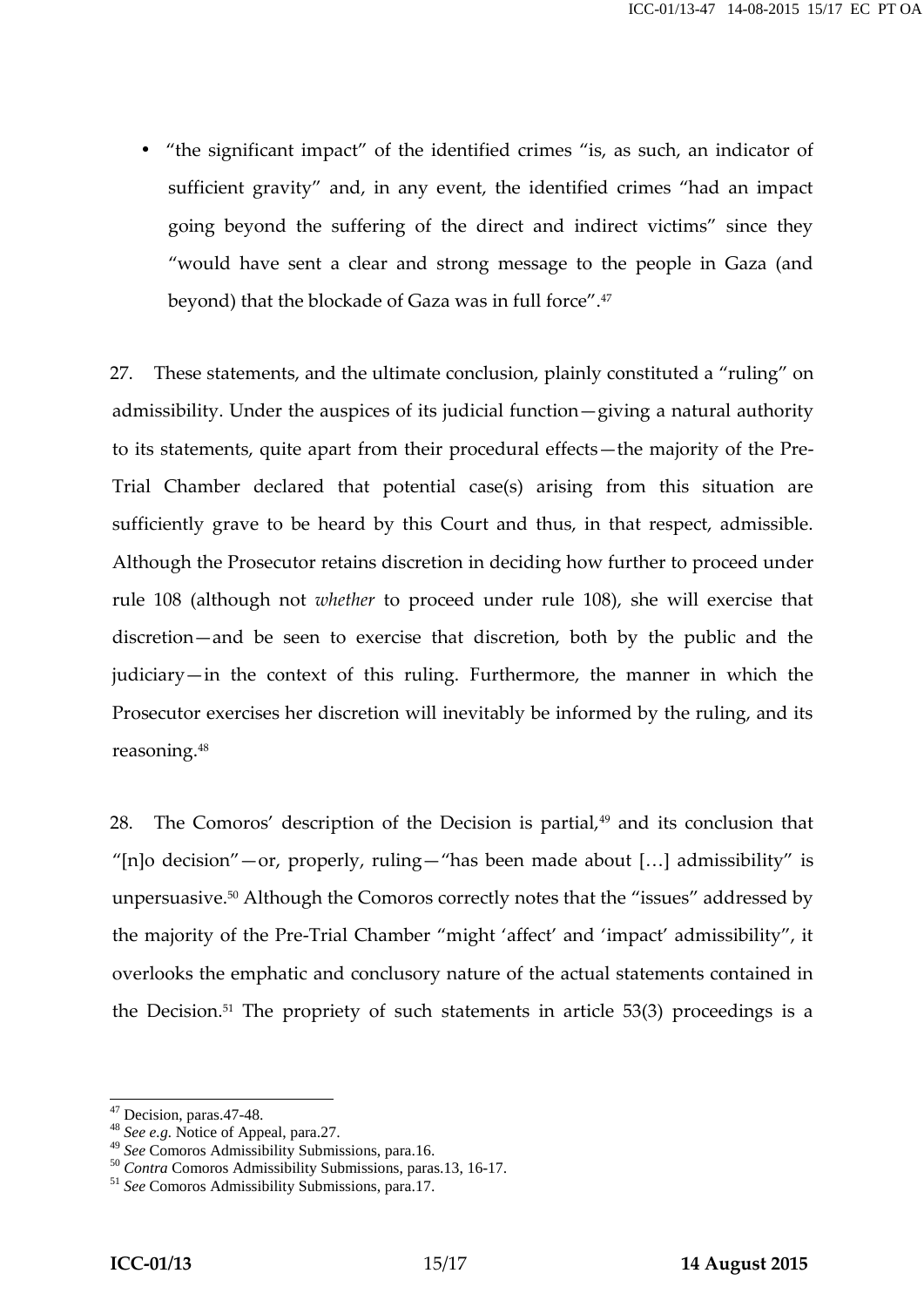"the significant impact" of the identified crimes "is, as such, an indicator of sufficient gravity" and, in any event, the identified crimes "had an impact going beyond the suffering of the direct and indirect victims" since they "would have sent a clear and strong message to the people in Gaza (and beyond) that the blockade of Gaza was in full force".<sup>47</sup>

27. These statements, and the ultimate conclusion, plainly constituted a "ruling" on admissibility. Under the auspices of its judicial function—giving a natural authority to its statements, quite apart from their procedural effects—the majority of the Pre- Trial Chamber declared that potential case(s) arising from this situation are sufficiently grave to be heard by this Court and thus, in that respect, admissible. Although the Prosecutor retains discretion in deciding how further to proceed under rule 108 (although not *whether* to proceed under rule 108), she will exercise that discretion—and be seen to exercise that discretion, both by the public and the judiciary—in the context of this ruling. Furthermore, the manner in which the Prosecutor exercises her discretion will inevitably be informed by the ruling, and its reasoning.<sup>48</sup>

28. The Comoros' description of the Decision is partial, $49$  and its conclusion that "[n]o decision"—or, properly, ruling—"has been made about […] admissibility" is unpersuasive.<sup>50</sup> Although the Comoros correctly notes that the "issues" addressed by the majority of the Pre-Trial Chamber "might 'affect' and 'impact' admissibility", it overlooks the emphatic and conclusory nature of the actual statements contained in the Decision.<sup>51</sup> The propriety of such statements in article  $53(3)$  proceedings is a

<sup>47</sup> Decision, paras.47-48. <sup>48</sup> *See e.g.* Notice of Appeal, para.27.

<sup>&</sup>lt;sup>50</sup> *Contra* Comoros Admissibility Submissions, paras.13, 16-17.<br><sup>51</sup> *See* Comoros Admissibility Submissions, para.17.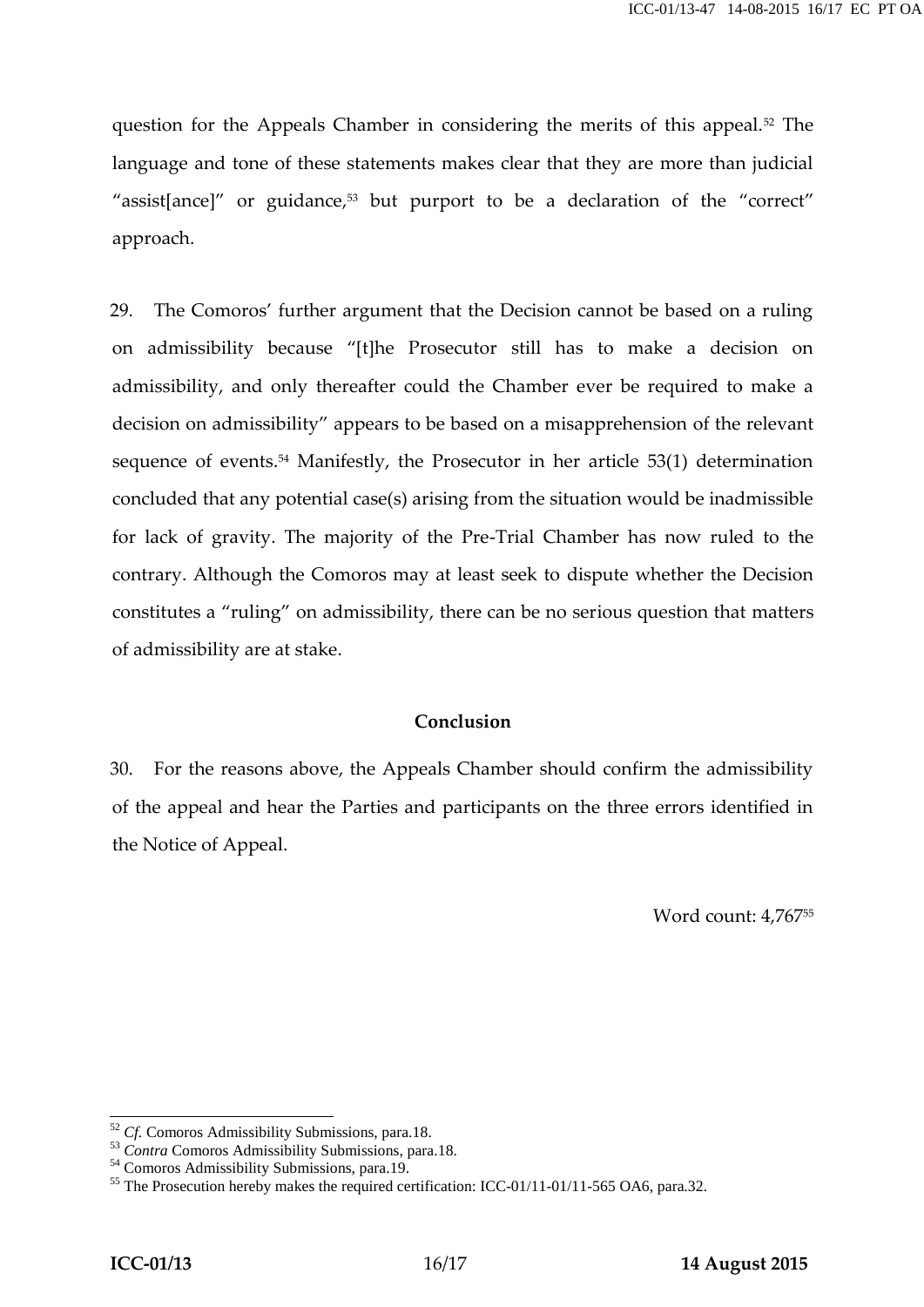question for the Appeals Chamber in considering the merits of this appeal.<sup>52</sup> The language and tone of these statements makes clear that they are more than judicial "assist[ance]" or guidance, $53$  but purport to be a declaration of the "correct" approach.

29. The Comoros' further argument that the Decision cannot be based on a ruling on admissibility because "[t]he Prosecutor still has to make a decision on admissibility, and only thereafter could the Chamber ever be required to make a decision on admissibility" appears to be based on a misapprehension of the relevant sequence of events.<sup>54</sup> Manifestly, the Prosecutor in her article 53(1) determination concluded that any potential case(s) arising from the situation would be inadmissible for lack of gravity. The majority of the Pre-Trial Chamber has now ruled to the contrary. Although the Comoros may at least seek to dispute whether the Decision constitutes a "ruling" on admissibility, there can be no serious question that matters of admissibility are at stake.

#### **Conclusion**

30. For the reasons above, the Appeals Chamber should confirm the admissibility of the appeal and hear the Parties and participants on the three errors identified in the Notice of Appeal.

Word count: 4,767<sup>55</sup>

<sup>&</sup>lt;sup>52</sup> Cf. Comoros Admissibility Submissions, para.18.<br><sup>53</sup> Contra Comoros Admissibility Submissions, para.18.<br><sup>54</sup> Comoros Admissibility Submissions, para.19.<br><sup>55</sup> The Prosecution hereby makes the required certification: I